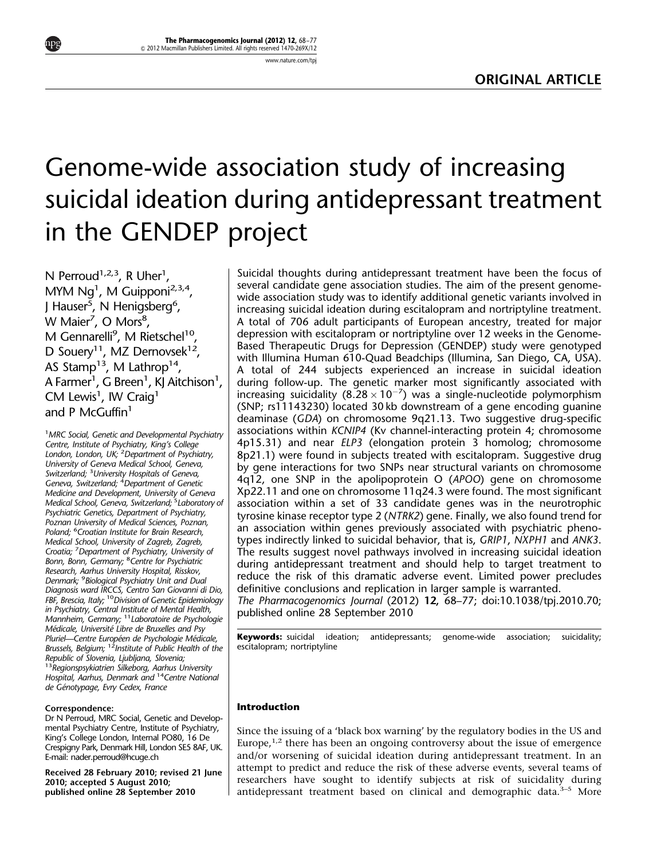# Genome-wide association study of increasing suicidal ideation during antidepressant treatment in the GENDEP project

N Perroud<sup> $1,2,3$ </sup>, R Uher<sup>1</sup>, MYM Ng<sup>1</sup>, M Guipponi<sup>2,3,4</sup>, J Hauser<sup>5</sup>, N Henigsberg<sup>6</sup>, W Maier<sup>7</sup>, O Mors<sup>8</sup>, M Gennarelli<sup>9</sup>, M Rietschel<sup>10</sup>, D Souery<sup>11</sup>, MZ Dernovsek<sup>12</sup>, AS Stamp<sup>13</sup>, M Lathrop<sup>14</sup>, A Farmer<sup>1</sup>, G Breen<sup>1</sup>, KJ Aitchison<sup>1</sup>, CM Lewis<sup>1</sup>, IW Craig<sup>1</sup> and P McGuffin $<sup>1</sup>$ </sup>

<sup>1</sup> MRC Social, Genetic and Developmental Psychiatry Centre, Institute of Psychiatry, King's College London, London, UK; <sup>2</sup>Department of Psychiatry, University of Geneva Medical School, Geneva, Switzerland; <sup>3</sup> University Hospitals of Geneva, Geneva, Switzerland; <sup>4</sup>Department of Genetic Medicine and Development, University of Geneva Medical School, Geneva, Switzerland; <sup>5</sup> Laboratory of Psychiatric Genetics, Department of Psychiatry, Poznan University of Medical Sciences, Poznan, Poland; <sup>6</sup>Croatian Institute for Brain Research, Medical School, University of Zagreb, Zagreb, Croatia; <sup>7</sup> Department of Psychiatry, University of Bonn, Bonn, Germany; <sup>8</sup> Centre for Psychiatric Research, Aarhus University Hospital, Risskov, Denmark; <sup>9</sup> Biological Psychiatry Unit and Dual Diagnosis ward IRCCS, Centro San Giovanni di Dio, FBF, Brescia, Italy; <sup>10</sup>Division of Genetic Epidemiology in Psychiatry, Central Institute of Mental Health, Mannheim, Germany; <sup>11</sup>Laboratoire de Psychologie Médicale, Université Libre de Bruxelles and Psy Pluriel—Centre Européen de Psychologie Médicale, Brussels, Belgium; <sup>12</sup>Institute of Public Health of the Republic of Slovenia, Ljubljana, Slovenia; <sup>13</sup>Regionspsykiatrien Silkeborg, Aarhus University Hospital, Aarhus, Denmark and <sup>14</sup>Centre National de Génotypage, Evry Cedex, France

## Correspondence:

Dr N Perroud, MRC Social, Genetic and Developmental Psychiatry Centre, Institute of Psychiatry, King's College London, Internal PO80, 16 De Crespigny Park, Denmark Hill, London SE5 8AF, UK. E-mail: [nader.perroud@hcuge.ch](mailto:nader.perroud@hcuge.ch)

Received 28 February 2010; revised 21 June 2010; accepted 5 August 2010; published online 28 September 2010

Suicidal thoughts during antidepressant treatment have been the focus of several candidate gene association studies. The aim of the present genomewide association study was to identify additional genetic variants involved in increasing suicidal ideation during escitalopram and nortriptyline treatment. A total of 706 adult participants of European ancestry, treated for major depression with escitalopram or nortriptyline over 12 weeks in the Genome-Based Therapeutic Drugs for Depression (GENDEP) study were genotyped with Illumina Human 610-Quad Beadchips (Illumina, San Diego, CA, USA). A total of 244 subjects experienced an increase in suicidal ideation during follow-up. The genetic marker most significantly associated with increasing suicidality (8.28  $\times$  10<sup>-7</sup>) was a single-nucleotide polymorphism (SNP; rs11143230) located 30 kb downstream of a gene encoding guanine deaminase (GDA) on chromosome 9q21.13. Two suggestive drug-specific associations within KCNIP4 (Kv channel-interacting protein 4; chromosome 4p15.31) and near ELP3 (elongation protein 3 homolog; chromosome 8p21.1) were found in subjects treated with escitalopram. Suggestive drug by gene interactions for two SNPs near structural variants on chromosome 4q12, one SNP in the apolipoprotein O (APOO) gene on chromosome Xp22.11 and one on chromosome 11q24.3 were found. The most significant association within a set of 33 candidate genes was in the neurotrophic tyrosine kinase receptor type 2 (NTRK2) gene. Finally, we also found trend for an association within genes previously associated with psychiatric phenotypes indirectly linked to suicidal behavior, that is, GRIP1, NXPH1 and ANK3. The results suggest novel pathways involved in increasing suicidal ideation during antidepressant treatment and should help to target treatment to reduce the risk of this dramatic adverse event. Limited power precludes definitive conclusions and replication in larger sample is warranted. The Pharmacogenomics Journal (2012) 12, 68–77; doi:[10.1038/tpj.2010.70;](http://dx.doi.org/10.1038/tpj.2010.70) published online 28 September 2010

**Keywords:** suicidal ideation; antidepressants; genome-wide association; suicidality; escitalopram; nortriptyline

## Introduction

Since the issuing of a 'black box warning' by the regulatory bodies in the US and Europe, $1,2$  there has been an ongoing controversy about the issue of emergence and/or worsening of suicidal ideation during antidepressant treatment. In an attempt to predict and reduce the risk of these adverse events, several teams of researchers have sought to identify subjects at risk of suicidality during antidepressant treatment based on clinical and demographic data[.3–5](#page-8-0) More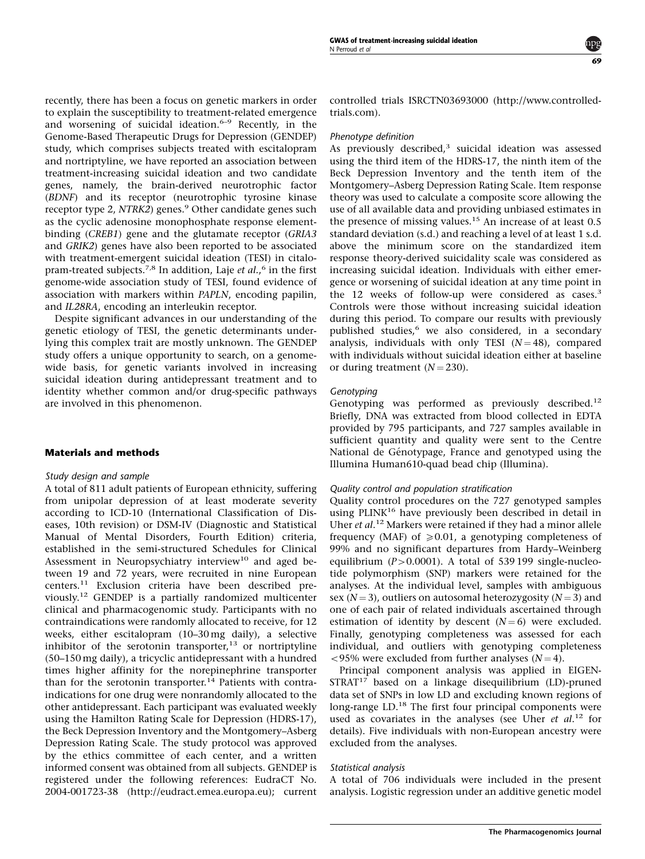69

recently, there has been a focus on genetic markers in order to explain the susceptibility to treatment-related emergence and worsening of suicidal ideation. $6-9$  Recently, in the Genome-Based Therapeutic Drugs for Depression (GENDEP) study, which comprises subjects treated with escitalopram and nortriptyline, we have reported an association between treatment-increasing suicidal ideation and two candidate genes, namely, the brain-derived neurotrophic factor (BDNF) and its receptor (neurotrophic tyrosine kinase receptor type 2, NTRK2) genes.<sup>[9](#page-8-0)</sup> Other candidate genes such as the cyclic adenosine monophosphate response elementbinding (CREB1) gene and the glutamate receptor (GRIA3 and GRIK2) genes have also been reported to be associated with treatment-emergent suicidal ideation (TESI) in citalo-pram-treated subjects.<sup>[7,8](#page-8-0)</sup> In addition, Laje et al.,<sup>[6](#page-8-0)</sup> in the first genome-wide association study of TESI, found evidence of association with markers within PAPLN, encoding papilin, and IL28RA, encoding an interleukin receptor.

Despite significant advances in our understanding of the genetic etiology of TESI, the genetic determinants underlying this complex trait are mostly unknown. The GENDEP study offers a unique opportunity to search, on a genomewide basis, for genetic variants involved in increasing suicidal ideation during antidepressant treatment and to identity whether common and/or drug-specific pathways are involved in this phenomenon.

# Materials and methods

# Study design and sample

A total of 811 adult patients of European ethnicity, suffering from unipolar depression of at least moderate severity according to ICD-10 (International Classification of Diseases, 10th revision) or DSM-IV (Diagnostic and Statistical Manual of Mental Disorders, Fourth Edition) criteria, established in the semi-structured Schedules for Clinical Assessment in Neuropsychiatry interview<sup>[10](#page-8-0)</sup> and aged between 19 and 72 years, were recruited in nine European centers.[11](#page-8-0) Exclusion criteria have been described previously.[12](#page-8-0) GENDEP is a partially randomized multicenter clinical and pharmacogenomic study. Participants with no contraindications were randomly allocated to receive, for 12 weeks, either escitalopram (10–30 mg daily), a selective inhibitor of the serotonin transporter, $13$  or nortriptyline (50–150 mg daily), a tricyclic antidepressant with a hundred times higher affinity for the norepinephrine transporter than for the serotonin transporter.<sup>[14](#page-8-0)</sup> Patients with contraindications for one drug were nonrandomly allocated to the other antidepressant. Each participant was evaluated weekly using the Hamilton Rating Scale for Depression (HDRS-17), the Beck Depression Inventory and the Montgomery–Asberg Depression Rating Scale. The study protocol was approved by the ethics committee of each center, and a written informed consent was obtained from all subjects. GENDEP is registered under the following references: EudraCT No. 2004-001723-38 ([http://eudract.emea.europa.eu\)](http://eudract.emea.europa.eu); current controlled trials ISRCTN03693000 ([http://www.controlled](http://www.controlled-trials.com)[trials.com](http://www.controlled-trials.com)).

## Phenotype definition

As previously described,<sup>[3](#page-8-0)</sup> suicidal ideation was assessed using the third item of the HDRS-17, the ninth item of the Beck Depression Inventory and the tenth item of the Montgomery–Asberg Depression Rating Scale. Item response theory was used to calculate a composite score allowing the use of all available data and providing unbiased estimates in the presence of missing values.<sup>[15](#page-8-0)</sup> An increase of at least 0.5 standard deviation (s.d.) and reaching a level of at least 1 s.d. above the minimum score on the standardized item response theory-derived suicidality scale was considered as increasing suicidal ideation. Individuals with either emergence or worsening of suicidal ideation at any time point in the 12 weeks of follow-up were considered as cases.<sup>[3](#page-8-0)</sup> Controls were those without increasing suicidal ideation during this period. To compare our results with previously published studies,<sup>[6](#page-8-0)</sup> we also considered, in a secondary analysis, individuals with only TESI  $(N = 48)$ , compared with individuals without suicidal ideation either at baseline or during treatment  $(N = 230)$ .

## Genotyping

Genotyping was performed as previously described.<sup>[12](#page-8-0)</sup> Briefly, DNA was extracted from blood collected in EDTA provided by 795 participants, and 727 samples available in sufficient quantity and quality were sent to the Centre National de Génotypage, France and genotyped using the Illumina Human610-quad bead chip (Illumina).

# Quality control and population stratification

Quality control procedures on the 727 genotyped samples using PLINK<sup>[16](#page-8-0)</sup> have previously been described in detail in Uher et al.<sup>[12](#page-8-0)</sup> Markers were retained if they had a minor allele frequency (MAF) of  $\geq 0.01$ , a genotyping completeness of 99% and no significant departures from Hardy–Weinberg equilibrium  $(P>0.0001)$ . A total of 539 199 single-nucleotide polymorphism (SNP) markers were retained for the analyses. At the individual level, samples with ambiguous sex  $(N = 3)$ , outliers on autosomal heterozygosity  $(N = 3)$  and one of each pair of related individuals ascertained through estimation of identity by descent  $(N = 6)$  were excluded. Finally, genotyping completeness was assessed for each individual, and outliers with genotyping completeness <95% were excluded from further analyses  $(N = 4)$ .

Principal component analysis was applied in EIGEN- $STRAT^{17}$  $STRAT^{17}$  $STRAT^{17}$  based on a linkage disequilibrium (LD)-pruned data set of SNPs in low LD and excluding known regions of long-range LD.<sup>[18](#page-8-0)</sup> The first four principal components were used as covariates in the analyses (see Uher et al.<sup>[12](#page-8-0)</sup> for details). Five individuals with non-European ancestry were excluded from the analyses.

## Statistical analysis

A total of 706 individuals were included in the present analysis. Logistic regression under an additive genetic model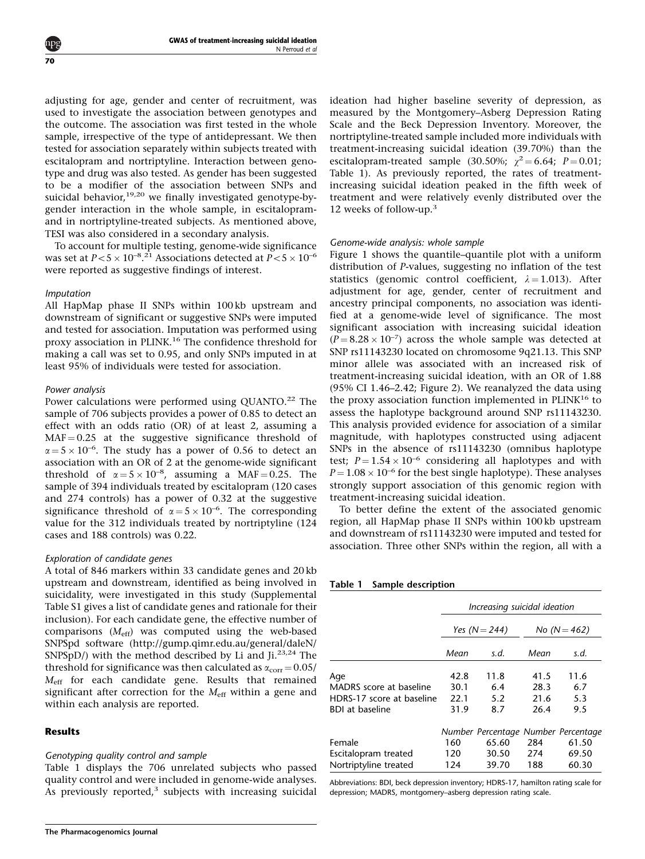adjusting for age, gender and center of recruitment, was used to investigate the association between genotypes and the outcome. The association was first tested in the whole sample, irrespective of the type of antidepressant. We then tested for association separately within subjects treated with escitalopram and nortriptyline. Interaction between genotype and drug was also tested. As gender has been suggested to be a modifier of the association between SNPs and suicidal behavior, $19,20$  we finally investigated genotype-bygender interaction in the whole sample, in escitalopramand in nortriptyline-treated subjects. As mentioned above, TESI was also considered in a secondary analysis.

To account for multiple testing, genome-wide significance was set at  $P < 5 \times 10^{-8}$ .<sup>[21](#page-8-0)</sup> Associations detected at  $P < 5 \times 10^{-6}$ were reported as suggestive findings of interest.

## Imputation

70

All HapMap phase II SNPs within 100 kb upstream and downstream of significant or suggestive SNPs were imputed and tested for association. Imputation was performed using proxy association in PLINK.[16](#page-8-0) The confidence threshold for making a call was set to 0.95, and only SNPs imputed in at least 95% of individuals were tested for association.

## Power analysis

Power calculations were performed using QUANTO.<sup>[22](#page-8-0)</sup> The sample of 706 subjects provides a power of 0.85 to detect an effect with an odds ratio (OR) of at least 2, assuming a  $MAF = 0.25$  at the suggestive significance threshold of  $\alpha = 5 \times 10^{-6}$ . The study has a power of 0.56 to detect an association with an OR of 2 at the genome-wide significant threshold of  $\alpha = 5 \times 10^{-8}$ , assuming a MAF = 0.25. The sample of 394 individuals treated by escitalopram (120 cases and 274 controls) has a power of 0.32 at the suggestive significance threshold of  $\alpha = 5 \times 10^{-6}$ . The corresponding value for the 312 individuals treated by nortriptyline (124 cases and 188 controls) was 0.22.

# Exploration of candidate genes

A total of 846 markers within 33 candidate genes and 20 kb upstream and downstream, identified as being involved in suicidality, were investigated in this study (Supplemental Table S1 gives a list of candidate genes and rationale for their inclusion). For each candidate gene, the effective number of comparisons  $(M_{\text{eff}})$  was computed using the web-based SNPSpd software ([http://gump.qimr.edu.au/general/daleN/](http://gump.qimr.edu.au/general/daleN/SNPSpD/) [SNPSpD/\)](http://gump.qimr.edu.au/general/daleN/SNPSpD/) with the method described by Li and Ji.<sup>[23,24](#page-8-0)</sup> The threshold for significance was then calculated as  $\alpha_{\text{corr}} = 0.05/$  $M_{\text{eff}}$  for each candidate gene. Results that remained significant after correction for the  $M_{\text{eff}}$  within a gene and within each analysis are reported.

# Results

# Genotyping quality control and sample

Table 1 displays the 706 unrelated subjects who passed quality control and were included in genome-wide analyses. As previously reported, $3$  subjects with increasing suicidal ideation had higher baseline severity of depression, as measured by the Montgomery–Asberg Depression Rating Scale and the Beck Depression Inventory. Moreover, the nortriptyline-treated sample included more individuals with treatment-increasing suicidal ideation (39.70%) than the escitalopram-treated sample (30.50%;  $\chi^2$  = 6.64; P = 0.01; Table 1). As previously reported, the rates of treatmentincreasing suicidal ideation peaked in the fifth week of treatment and were relatively evenly distributed over the 12 weeks of follow-up.[3](#page-8-0)

## Genome-wide analysis: whole sample

[Figure 1](#page-3-0) shows the quantile–quantile plot with a uniform distribution of P-values, suggesting no inflation of the test statistics (genomic control coefficient,  $\lambda = 1.013$ ). After adjustment for age, gender, center of recruitment and ancestry principal components, no association was identified at a genome-wide level of significance. The most significant association with increasing suicidal ideation  $(P = 8.28 \times 10^{-7})$  across the whole sample was detected at SNP rs11143230 located on chromosome 9q21.13. This SNP minor allele was associated with an increased risk of treatment-increasing suicidal ideation, with an OR of 1.88 (95% CI 1.46–2.42; [Figure 2](#page-3-0)). We reanalyzed the data using the proxy association function implemented in  $PLINK^{16}$  $PLINK^{16}$  $PLINK^{16}$  to assess the haplotype background around SNP rs11143230. This analysis provided evidence for association of a similar magnitude, with haplotypes constructed using adjacent SNPs in the absence of rs11143230 (omnibus haplotype test;  $P = 1.54 \times 10^{-6}$  considering all haplotypes and with  $P = 1.08 \times 10^{-6}$  for the best single haplotype). These analyses strongly support association of this genomic region with treatment-increasing suicidal ideation.

To better define the extent of the associated genomic region, all HapMap phase II SNPs within 100 kb upstream and downstream of rs11143230 were imputed and tested for association. Three other SNPs within the region, all with a

## Table 1 Sample description

|                           | Increasing suicidal ideation |                                     |      |                  |  |  |  |  |  |  |
|---------------------------|------------------------------|-------------------------------------|------|------------------|--|--|--|--|--|--|
|                           |                              | Yes ( $N = 244$ )                   |      | No ( $N = 462$ ) |  |  |  |  |  |  |
|                           | Mean                         | s.d.                                | Mean | s.d.             |  |  |  |  |  |  |
| Age                       | 42.8                         | 11.8                                | 41.5 | 11.6             |  |  |  |  |  |  |
| MADRS score at baseline   | 30.1                         | 6.4                                 | 28.3 | 6.7              |  |  |  |  |  |  |
| HDRS-17 score at baseline | 22.1                         | 5.2                                 | 21.6 | 5.3              |  |  |  |  |  |  |
| <b>BDI</b> at baseline    | 31.9                         | 8.7                                 | 26.4 | 9.5              |  |  |  |  |  |  |
|                           |                              | Number Percentage Number Percentage |      |                  |  |  |  |  |  |  |
| Female                    | 160                          | 65.60                               | 284  | 61.50            |  |  |  |  |  |  |
| Escitalopram treated      | 120                          | 30.50                               | 274  | 69.50            |  |  |  |  |  |  |
| Nortriptyline treated     | 124                          | 39.70                               | 188  | 60.30            |  |  |  |  |  |  |

Abbreviations: BDI, beck depression inventory; HDRS-17, hamilton rating scale for depression; MADRS, montgomery–asberg depression rating scale.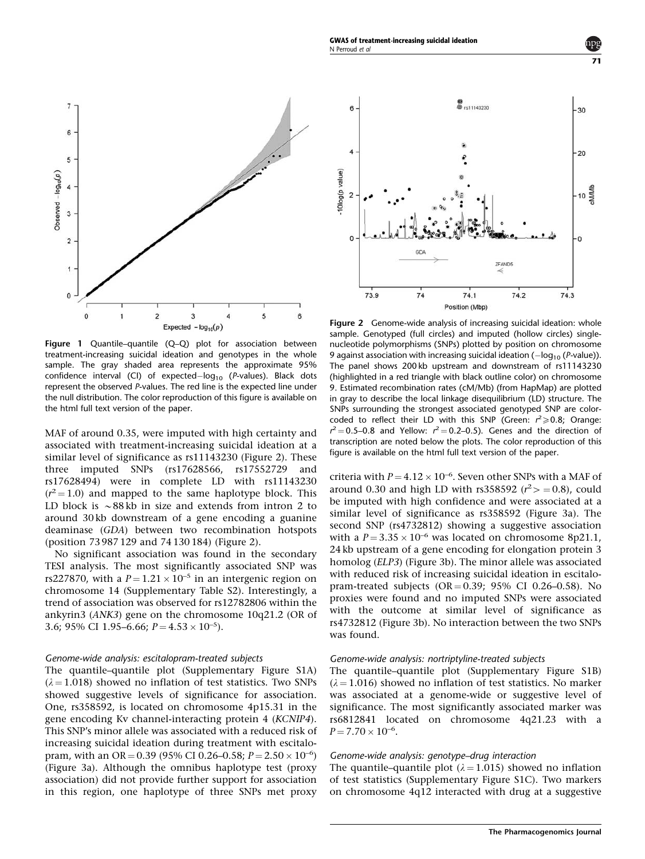<span id="page-3-0"></span>

Figure 1 Quantile–quantile (Q–Q) plot for association between treatment-increasing suicidal ideation and genotypes in the whole sample. The gray shaded area represents the approximate 95% confidence interval (CI) of expected- $log_{10}$  (P-values). Black dots represent the observed P-values. The red line is the expected line under the null distribution. The color reproduction of this figure is available on the html full text version of the paper.

MAF of around 0.35, were imputed with high certainty and associated with treatment-increasing suicidal ideation at a similar level of significance as rs11143230 (Figure 2). These three imputed SNPs (rs17628566, rs17552729 and rs17628494) were in complete LD with rs11143230  $(r^2 = 1.0)$  and mapped to the same haplotype block. This LD block is  $\sim$ 88 kb in size and extends from intron 2 to around 30 kb downstream of a gene encoding a guanine deaminase (GDA) between two recombination hotspots (position 73 987 129 and 74 130 184) (Figure 2).

No significant association was found in the secondary TESI analysis. The most significantly associated SNP was rs227870, with a  $P = 1.21 \times 10^{-5}$  in an intergenic region on chromosome 14 (Supplementary Table S2). Interestingly, a trend of association was observed for rs12782806 within the ankyrin3 (ANK3) gene on the chromosome 10q21.2 (OR of 3.6; 95% CI 1.95–6.66;  $P = 4.53 \times 10^{-5}$ ).

## Genome-wide analysis: escitalopram-treated subjects

The quantile–quantile plot (Supplementary Figure S1A)  $(\lambda = 1.018)$  showed no inflation of test statistics. Two SNPs showed suggestive levels of significance for association. One, rs358592, is located on chromosome 4p15.31 in the gene encoding Kv channel-interacting protein 4 (KCNIP4). This SNP's minor allele was associated with a reduced risk of increasing suicidal ideation during treatment with escitalopram, with an OR = 0.39 (95% CI 0.26–0.58;  $P = 2.50 \times 10^{-6}$ ) ([Figure 3a\)](#page-4-0). Although the omnibus haplotype test (proxy association) did not provide further support for association in this region, one haplotype of three SNPs met proxy



Figure 2 Genome-wide analysis of increasing suicidal ideation: whole sample. Genotyped (full circles) and imputed (hollow circles) singlenucleotide polymorphisms (SNPs) plotted by position on chromosome 9 against association with increasing suicidal ideation ( $-\log_{10} (P\text{-value})$ ). The panel shows 200 kb upstream and downstream of rs11143230 (highlighted in a red triangle with black outline color) on chromosome 9. Estimated recombination rates (cM/Mb) (from HapMap) are plotted in gray to describe the local linkage disequilibrium (LD) structure. The SNPs surrounding the strongest associated genotyped SNP are colorcoded to reflect their LD with this SNP (Green:  $r^2 \ge 0.8$ ; Orange:  $r^2 = 0.5 - 0.8$  and Yellow:  $r^2 = 0.2 - 0.5$ ). Genes and the direction of transcription are noted below the plots. The color reproduction of this figure is available on the html full text version of the paper.

criteria with  $P = 4.12 \times 10^{-6}$ . Seven other SNPs with a MAF of around 0.30 and high LD with rs358592 ( $r^2$  > = 0.8), could be imputed with high confidence and were associated at a similar level of significance as rs358592 ([Figure 3a](#page-4-0)). The second SNP (rs4732812) showing a suggestive association with a  $P = 3.35 \times 10^{-6}$  was located on chromosome 8p21.1, 24 kb upstream of a gene encoding for elongation protein 3 homolog (ELP3) ([Figure 3b](#page-4-0)). The minor allele was associated with reduced risk of increasing suicidal ideation in escitalopram-treated subjects  $(OR = 0.39; 95\% \text{ CI } 0.26-0.58)$ . No proxies were found and no imputed SNPs were associated with the outcome at similar level of significance as rs4732812 [\(Figure 3b\)](#page-4-0). No interaction between the two SNPs was found.

#### Genome-wide analysis: nortriptyline-treated subjects

The quantile–quantile plot (Supplementary Figure S1B)  $(\lambda = 1.016)$  showed no inflation of test statistics. No marker was associated at a genome-wide or suggestive level of significance. The most significantly associated marker was rs6812841 located on chromosome 4q21.23 with a  $P = 7.70 \times 10^{-6}$ .

#### Genome-wide analysis: genotype–drug interaction

The quantile–quantile plot ( $\lambda = 1.015$ ) showed no inflation of test statistics (Supplementary Figure S1C). Two markers on chromosome 4q12 interacted with drug at a suggestive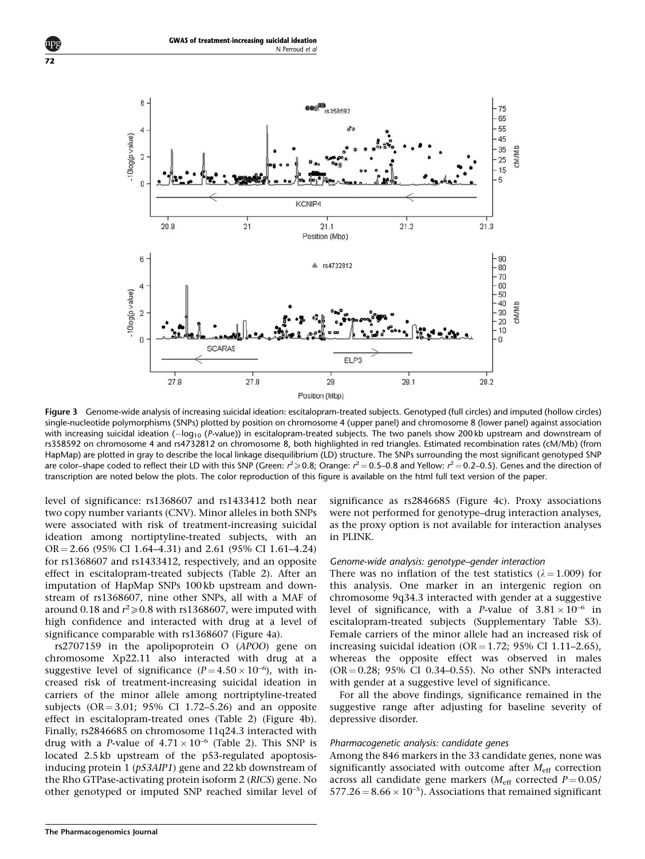<span id="page-4-0"></span>72



Figure 3 Genome-wide analysis of increasing suicidal ideation: escitalopram-treated subjects. Genotyped (full circles) and imputed (hollow circles) single-nucleotide polymorphisms (SNPs) plotted by position on chromosome 4 (upper panel) and chromosome 8 (lower panel) against association with increasing suicidal ideation ( $-\log_{10}$  (P-value)) in escitalopram-treated subjects. The two panels show 200 kb upstream and downstream of rs358592 on chromosome 4 and rs4732812 on chromosome 8, both highlighted in red triangles. Estimated recombination rates (cM/Mb) (from HapMap) are plotted in gray to describe the local linkage disequilibrium (LD) structure. The SNPs surrounding the most significant genotyped SNP are color–shape coded to reflect their LD with this SNP (Green:  $r^2 \ge 0.8$ ; Orange:  $r^2 = 0.5-0.8$  and Yellow:  $r^2 = 0.2-0.5$ ). Genes and the direction of transcription are noted below the plots. The color reproduction of this figure is available on the html full text version of the paper.

level of significance: rs1368607 and rs1433412 both near two copy number variants (CNV). Minor alleles in both SNPs were associated with risk of treatment-increasing suicidal ideation among nortiptyline-treated subjects, with an  $OR = 2.66$  (95% CI 1.64–4.31) and 2.61 (95% CI 1.61–4.24) for rs1368607 and rs1433412, respectively, and an opposite effect in escitalopram-treated subjects [\(Table 2](#page-5-0)). After an imputation of HapMap SNPs 100 kb upstream and downstream of rs1368607, nine other SNPs, all with a MAF of around 0.18 and  $r^2 \ge 0.8$  with rs1368607, were imputed with high confidence and interacted with drug at a level of significance comparable with rs1368607 [\(Figure 4a\)](#page-6-0).

rs2707159 in the apolipoprotein O (APOO) gene on chromosome Xp22.11 also interacted with drug at a suggestive level of significance ( $P = 4.50 \times 10^{-6}$ ), with increased risk of treatment-increasing suicidal ideation in carriers of the minor allele among nortriptyline-treated subjects ( $OR = 3.01$ ; 95% CI 1.72-5.26) and an opposite effect in escitalopram-treated ones ([Table 2](#page-5-0)) ([Figure 4b\)](#page-6-0). Finally, rs2846685 on chromosome 11q24.3 interacted with drug with a *P*-value of  $4.71 \times 10^{-6}$  [\(Table 2\)](#page-5-0). This SNP is located 2.5 kb upstream of the p53-regulated apoptosisinducing protein 1 (p53AIP1) gene and 22 kb downstream of the Rho GTPase-activating protein isoform 2 (RICS) gene. No other genotyped or imputed SNP reached similar level of significance as rs2846685 ([Figure 4c](#page-6-0)). Proxy associations were not performed for genotype–drug interaction analyses, as the proxy option is not available for interaction analyses in PLINK.

## Genome-wide analysis: genotype–gender interaction

There was no inflation of the test statistics ( $\lambda = 1.009$ ) for this analysis. One marker in an intergenic region on chromosome 9q34.3 interacted with gender at a suggestive level of significance, with a *P*-value of  $3.81 \times 10^{-6}$  in escitalopram-treated subjects (Supplementary Table S3). Female carriers of the minor allele had an increased risk of increasing suicidal ideation (OR = 1.72; 95% CI 1.11–2.65), whereas the opposite effect was observed in males  $(OR = 0.28; 95\% \text{ CI } 0.34 - 0.55)$ . No other SNPs interacted with gender at a suggestive level of significance.

For all the above findings, significance remained in the suggestive range after adjusting for baseline severity of depressive disorder.

#### Pharmacogenetic analysis: candidate genes

Among the 846 markers in the 33 candidate genes, none was significantly associated with outcome after  $M_{\text{eff}}$  correction across all candidate gene markers ( $M_{\text{eff}}$  corrected  $P = 0.05/$  $577.26 = 8.66 \times 10^{-5}$ ). Associations that remained significant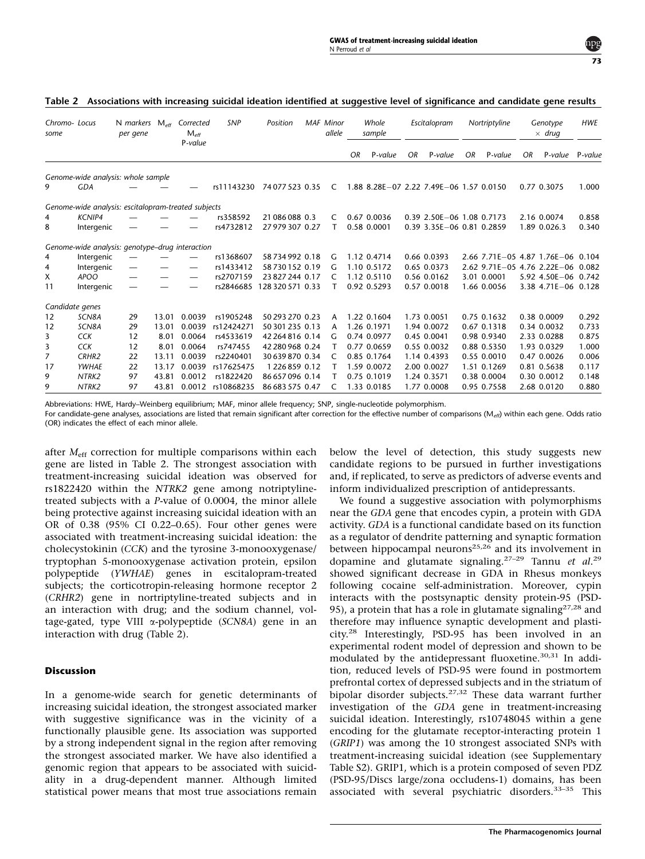| Chromo-Locus<br>some |                   | N markers<br>per gene                               | $M_{eff}$ | Corrected<br>$M_{eff}$<br>P-value | SNP        | Position         | <b>MAF</b> Minor<br>allele | Whole<br>sample |                                         | Escitalopram |                           | Nortriptyline |             | Genotype<br>$\times$ drug |                                   | <b>HWE</b> |
|----------------------|-------------------|-----------------------------------------------------|-----------|-----------------------------------|------------|------------------|----------------------------|-----------------|-----------------------------------------|--------------|---------------------------|---------------|-------------|---------------------------|-----------------------------------|------------|
|                      |                   |                                                     |           |                                   |            |                  |                            | <b>OR</b>       | P-value                                 | OR.          | P-value                   | <b>OR</b>     | P-value     | <b>OR</b>                 | P-value                           | P-value    |
|                      |                   | Genome-wide analysis: whole sample                  |           |                                   |            |                  |                            |                 |                                         |              |                           |               |             |                           |                                   |            |
| 9                    | <b>GDA</b>        |                                                     |           |                                   | rs11143230 | 74 077 523 0.35  | C                          |                 | 1.88 8.28E-07 2.22 7.49E-06 1.57 0.0150 |              |                           |               |             |                           | 0.77 0.3075                       | 1.000      |
|                      |                   | Genome-wide analysis: escitalopram-treated subjects |           |                                   |            |                  |                            |                 |                                         |              |                           |               |             |                           |                                   |            |
| 4                    | <b>KCNIP4</b>     |                                                     |           |                                   | rs358592   | 21 086 088 0.3   | C                          |                 | 0.67 0.0036                             |              | 0.39 2.50E-06 1.08 0.7173 |               |             |                           | 2.16 0.0074                       | 0.858      |
| 8                    | Intergenic        |                                                     |           |                                   | rs4732812  | 27 979 307 0.27  |                            |                 | 0.58 0.0001                             |              | 0.39 3.35E-06 0.81 0.2859 |               |             |                           | 1.89 0.026.3                      | 0.340      |
|                      |                   | Genome-wide analysis: genotype-drug interaction     |           |                                   |            |                  |                            |                 |                                         |              |                           |               |             |                           |                                   |            |
| 4                    | Intergenic        |                                                     |           |                                   | rs1368607  | 58 734 992 0.18  | G                          |                 | 1.12 0.4714                             |              | 0.66 0.0393               |               |             |                           | 2.66 7.71E-05 4.87 1.76E-06 0.104 |            |
| 4                    | Intergenic        |                                                     |           |                                   | rs1433412  | 58 730 152 0.19  | G                          |                 | 1.10 0.5172                             |              | 0.65 0.0373               |               |             |                           | 2.62 9.71E-05 4.76 2.22E-06 0.082 |            |
| x                    | <b>APOO</b>       | —                                                   |           | $\overbrace{\phantom{12332}}$     | rs2707159  | 238272440.17     |                            |                 | 1.12 0.5110                             |              | 0.56 0.0162               |               | 3.01 0.0001 |                           | 5.92 4.50E-06 0.742               |            |
| 11                   | Intergenic        |                                                     |           |                                   | rs2846685  | 128 320 571 0.33 |                            |                 | 0.92 0.5293                             |              | 0.57 0.0018               |               | 1.66 0.0056 |                           | 3.38 4.71E-06 0.128               |            |
| Candidate genes      |                   |                                                     |           |                                   |            |                  |                            |                 |                                         |              |                           |               |             |                           |                                   |            |
| 12                   | SCN8A             | 29                                                  | 13.01     | 0.0039                            | rs1905248  | 50 293 270 0.23  | А                          |                 | 1.22 0.1604                             |              | 1.73 0.0051               |               | 0.75 0.1632 |                           | 0.38 0.0009                       | 0.292      |
| 12                   | SCN8A             | 29                                                  | 13.01     | 0.0039                            | rs12424271 | 50 301 235 0.13  | А                          |                 | 1.26 0.1971                             |              | 1.94 0.0072               |               | 0.67 0.1318 |                           | 0.34 0.0032                       | 0.733      |
| 3                    | <b>CCK</b>        | 12                                                  | 8.01      | 0.0064                            | rs4533619  | 42 264 816 0.14  | G                          |                 | 0.74 0.0977                             |              | 0.45 0.0041               |               | 0.98 0.9340 |                           | 2.33 0.0288                       | 0.875      |
| 3                    | <b>CCK</b>        | 12                                                  | 8.01      | 0.0064                            | rs747455   | 42 280 968 0.24  |                            |                 | 0.77 0.0659                             |              | 0.55 0.0032               |               | 0.88 0.5350 |                           | 1.93 0.0329                       | 1.000      |
| 7                    | CRHR <sub>2</sub> | 22                                                  | 13.11     | 0.0039                            | rs2240401  | 30 639 870 0.34  |                            |                 | 0.85 0.1764                             |              | 1.14 0.4393               |               | 0.55 0.0010 |                           | 0.47 0.0026                       | 0.006      |
| 17                   | YWHAE             | 22                                                  | 13.17     | 0.0039                            | rs17625475 | 1226859 0.12     |                            |                 | 1.59 0.0072                             |              | 2.00 0.0027               |               | 1.51 0.1269 |                           | 0.81 0.5638                       | 0.117      |
| 9                    | NTRK2             | 97                                                  | 43.81     | 0.0012                            | rs1822420  | 86 657 096 0.14  |                            |                 | 0.75 0.1019                             |              | 1.24 0.3571               |               | 0.38 0.0004 |                           | 0.30 0.0012                       | 0.148      |
| 9                    | NTRK2             | 97                                                  | 43.81     | 0.0012                            | rs10868235 | 86 683 575 0.47  | $\epsilon$                 |                 | 1.33 0.0185                             |              | 1.77 0.0008               |               | 0.95 0.7558 |                           | 2.68 0.0120                       | 0.880      |

#### <span id="page-5-0"></span>Table 2 Associations with increasing suicidal ideation identified at suggestive level of significance and candidate gene results

Abbreviations: HWE, Hardy–Weinberg equilibrium; MAF, minor allele frequency; SNP, single-nucleotide polymorphism.

For candidate-gene analyses, associations are listed that remain significant after correction for the effective number of comparisons ( $M_{eff}$ ) within each gene. Odds ratio (OR) indicates the effect of each minor allele.

after  $M_{\text{eff}}$  correction for multiple comparisons within each gene are listed in Table 2. The strongest association with treatment-increasing suicidal ideation was observed for rs1822420 within the NTRK2 gene among notriptylinetreated subjects with a P-value of 0.0004, the minor allele being protective against increasing suicidal ideation with an OR of 0.38 (95% CI 0.22–0.65). Four other genes were associated with treatment-increasing suicidal ideation: the cholecystokinin (CCK) and the tyrosine 3-monooxygenase/ tryptophan 5-monooxygenase activation protein, epsilon polypeptide (YWHAE) genes in escitalopram-treated subjects; the corticotropin-releasing hormone receptor 2 (CRHR2) gene in nortriptyline-treated subjects and in an interaction with drug; and the sodium channel, voltage-gated, type VIII a-polypeptide (SCN8A) gene in an interaction with drug (Table 2).

# Discussion

In a genome-wide search for genetic determinants of increasing suicidal ideation, the strongest associated marker with suggestive significance was in the vicinity of a functionally plausible gene. Its association was supported by a strong independent signal in the region after removing the strongest associated marker. We have also identified a genomic region that appears to be associated with suicidality in a drug-dependent manner. Although limited statistical power means that most true associations remain

below the level of detection, this study suggests new candidate regions to be pursued in further investigations and, if replicated, to serve as predictors of adverse events and inform individualized prescription of antidepressants.

We found a suggestive association with polymorphisms near the GDA gene that encodes cypin, a protein with GDA activity. GDA is a functional candidate based on its function as a regulator of dendrite patterning and synaptic formation between hippocampal neurons<sup>[25,26](#page-8-0)</sup> and its involvement in dopamine and glutamate signaling.<sup>27-[29](#page-8-0)</sup> Tannu et al.<sup>29</sup> showed significant decrease in GDA in Rhesus monkeys following cocaine self-administration. Moreover, cypin interacts with the postsynaptic density protein-95 (PSD-95), a protein that has a role in glutamate signaling<sup>[27,28](#page-8-0)</sup> and therefore may influence synaptic development and plasticity.[28](#page-8-0) Interestingly, PSD-95 has been involved in an experimental rodent model of depression and shown to be modulated by the antidepressant fluoxetine.<sup>[30,31](#page-8-0)</sup> In addition, reduced levels of PSD-95 were found in postmortem prefrontal cortex of depressed subjects and in the striatum of bipolar disorder subjects.[27,32](#page-8-0) These data warrant further investigation of the GDA gene in treatment-increasing suicidal ideation. Interestingly, rs10748045 within a gene encoding for the glutamate receptor-interacting protein 1 (GRIP1) was among the 10 strongest associated SNPs with treatment-increasing suicidal ideation (see Supplementary Table S2). GRIP1, which is a protein composed of seven PDZ (PSD-95/Discs large/zona occludens-1) domains, has been associated with several psychiatric disorders.[33–35](#page-8-0) This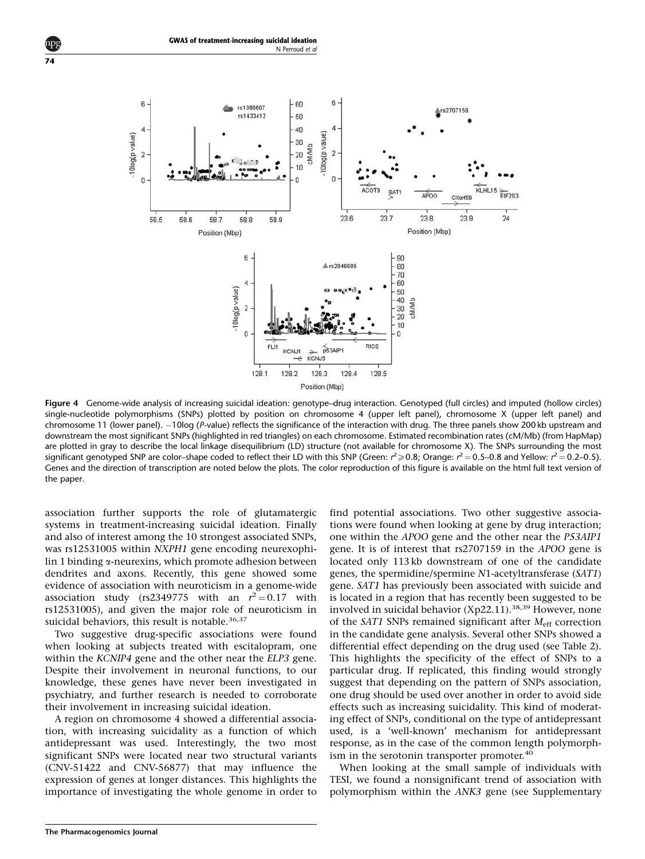<span id="page-6-0"></span>74



Figure 4 Genome-wide analysis of increasing suicidal ideation: genotype–drug interaction. Genotyped (full circles) and imputed (hollow circles) single-nucleotide polymorphisms (SNPs) plotted by position on chromosome 4 (upper left panel), chromosome X (upper left panel) and chromosome 11 (lower panel). -10log (P-value) reflects the significance of the interaction with drug. The three panels show 200 kb upstream and downstream the most significant SNPs (highlighted in red triangles) on each chromosome. Estimated recombination rates (cM/Mb) (from HapMap) are plotted in gray to describe the local linkage disequilibrium (LD) structure (not available for chromosome X). The SNPs surrounding the most significant genotyped SNP are color–shape coded to reflect their LD with this SNP (Green:  $r^2 \ge 0.8$ ; Orange:  $r^2 = 0.5$ –0.8 and Yellow:  $r^2 = 0.2$ –0.5). Genes and the direction of transcription are noted below the plots. The color reproduction of this figure is available on the html full text version of the paper.

association further supports the role of glutamatergic systems in treatment-increasing suicidal ideation. Finally and also of interest among the 10 strongest associated SNPs, was rs12531005 within NXPH1 gene encoding neurexophilin 1 binding a-neurexins, which promote adhesion between dendrites and axons. Recently, this gene showed some evidence of association with neuroticism in a genome-wide association study (rs2349775 with an  $r^2 = 0.17$  with rs12531005), and given the major role of neuroticism in suicidal behaviors, this result is notable.<sup>36,37</sup>

Two suggestive drug-specific associations were found when looking at subjects treated with escitalopram, one within the KCNIP4 gene and the other near the ELP3 gene. Despite their involvement in neuronal functions, to our knowledge, these genes have never been investigated in psychiatry, and further research is needed to corroborate their involvement in increasing suicidal ideation.

A region on chromosome 4 showed a differential association, with increasing suicidality as a function of which antidepressant was used. Interestingly, the two most significant SNPs were located near two structural variants (CNV-51422 and CNV-56877) that may influence the expression of genes at longer distances. This highlights the importance of investigating the whole genome in order to

find potential associations. Two other suggestive associations were found when looking at gene by drug interaction; one within the APOO gene and the other near the P53AIP1 gene. It is of interest that rs2707159 in the APOO gene is located only 113 kb downstream of one of the candidate genes, the spermidine/spermine N1-acetyltransferase (SAT1) gene. SAT1 has previously been associated with suicide and is located in a region that has recently been suggested to be involved in suicidal behavior (Xp22.11).[38,39](#page-8-0) However, none of the SAT1 SNPs remained significant after  $M_{\text{eff}}$  correction in the candidate gene analysis. Several other SNPs showed a differential effect depending on the drug used (see [Table 2\)](#page-5-0). This highlights the specificity of the effect of SNPs to a particular drug. If replicated, this finding would strongly suggest that depending on the pattern of SNPs association, one drug should be used over another in order to avoid side effects such as increasing suicidality. This kind of moderating effect of SNPs, conditional on the type of antidepressant used, is a 'well-known' mechanism for antidepressant response, as in the case of the common length polymorph-ism in the serotonin transporter promoter.<sup>[40](#page-8-0)</sup>

When looking at the small sample of individuals with TESI, we found a nonsignificant trend of association with polymorphism within the ANK3 gene (see Supplementary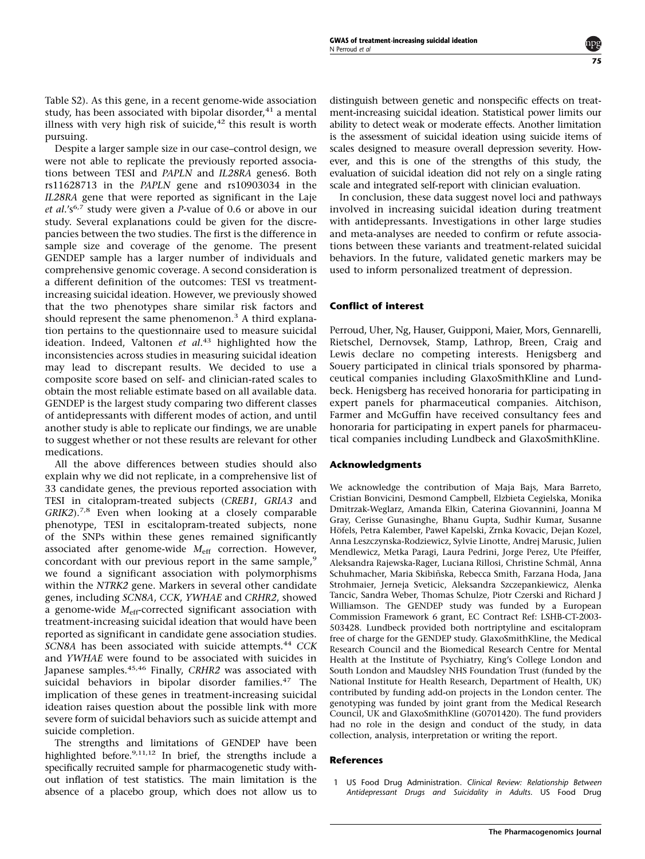<span id="page-7-0"></span>Table S2). As this gene, in a recent genome-wide association study, has been associated with bipolar disorder, $41$  a mental illness with very high risk of suicide, $42$  this result is worth pursuing.

Despite a larger sample size in our case–control design, we were not able to replicate the previously reported associations between TESI and PAPLN and IL28RA genes6. Both rs11628713 in the PAPLN gene and rs10903034 in the IL28RA gene that were reported as significant in the Laje et al.'s<sup>[6,7](#page-8-0)</sup> study were given a P-value of 0.6 or above in our study. Several explanations could be given for the discrepancies between the two studies. The first is the difference in sample size and coverage of the genome. The present GENDEP sample has a larger number of individuals and comprehensive genomic coverage. A second consideration is a different definition of the outcomes: TESI vs treatmentincreasing suicidal ideation. However, we previously showed that the two phenotypes share similar risk factors and should represent the same phenomenon.<sup>3</sup> A third explanation pertains to the questionnaire used to measure suicidal ideation. Indeed, Valtonen et al.<sup>[43](#page-9-0)</sup> highlighted how the inconsistencies across studies in measuring suicidal ideation may lead to discrepant results. We decided to use a composite score based on self- and clinician-rated scales to obtain the most reliable estimate based on all available data. GENDEP is the largest study comparing two different classes of antidepressants with different modes of action, and until another study is able to replicate our findings, we are unable to suggest whether or not these results are relevant for other medications.

All the above differences between studies should also explain why we did not replicate, in a comprehensive list of 33 candidate genes, the previous reported association with TESI in citalopram-treated subjects (CREB1, GRIA3 and  $GRIK2$ ).<sup>[7,8](#page-8-0)</sup> Even when looking at a closely comparable phenotype, TESI in escitalopram-treated subjects, none of the SNPs within these genes remained significantly associated after genome-wide  $M_{\text{eff}}$  correction. However, concordant with our previous report in the same sample, $9$ we found a significant association with polymorphisms within the NTRK2 gene. Markers in several other candidate genes, including SCN8A, CCK, YWHAE and CRHR2, showed a genome-wide  $M_{\text{eff}}$ -corrected significant association with treatment-increasing suicidal ideation that would have been reported as significant in candidate gene association studies. SCN8A has been associated with suicide attempts.<sup>[44](#page-9-0)</sup> CCK and YWHAE were found to be associated with suicides in Japanese samples.<sup>[45,46](#page-9-0)</sup> Finally, CRHR2 was associated with suicidal behaviors in bipolar disorder families.<sup>[47](#page-9-0)</sup> The implication of these genes in treatment-increasing suicidal ideation raises question about the possible link with more severe form of suicidal behaviors such as suicide attempt and suicide completion.

The strengths and limitations of GENDEP have been highlighted before.<sup>9,11,12</sup> In brief, the strengths include a specifically recruited sample for pharmacogenetic study without inflation of test statistics. The main limitation is the absence of a placebo group, which does not allow us to distinguish between genetic and nonspecific effects on treatment-increasing suicidal ideation. Statistical power limits our ability to detect weak or moderate effects. Another limitation is the assessment of suicidal ideation using suicide items of scales designed to measure overall depression severity. However, and this is one of the strengths of this study, the evaluation of suicidal ideation did not rely on a single rating scale and integrated self-report with clinician evaluation.

In conclusion, these data suggest novel loci and pathways involved in increasing suicidal ideation during treatment with antidepressants. Investigations in other large studies and meta-analyses are needed to confirm or refute associations between these variants and treatment-related suicidal behaviors. In the future, validated genetic markers may be used to inform personalized treatment of depression.

# Conflict of interest

Perroud, Uher, Ng, Hauser, Guipponi, Maier, Mors, Gennarelli, Rietschel, Dernovsek, Stamp, Lathrop, Breen, Craig and Lewis declare no competing interests. Henigsberg and Souery participated in clinical trials sponsored by pharmaceutical companies including GlaxoSmithKline and Lundbeck. Henigsberg has received honoraria for participating in expert panels for pharmaceutical companies. Aitchison, Farmer and McGuffin have received consultancy fees and honoraria for participating in expert panels for pharmaceutical companies including Lundbeck and GlaxoSmithKline.

## Acknowledgments

We acknowledge the contribution of Maja Bajs, Mara Barreto, Cristian Bonvicini, Desmond Campbell, Elzbieta Cegielska, Monika Dmitrzak-Weglarz, Amanda Elkin, Caterina Giovannini, Joanna M Gray, Cerisse Gunasinghe, Bhanu Gupta, Sudhir Kumar, Susanne Höfels, Petra Kalember, Paweł Kapelski, Zrnka Kovacic, Dejan Kozel, Anna Leszczynska-Rodziewicz, Sylvie Linotte, Andrej Marusic, Julien Mendlewicz, Metka Paragi, Laura Pedrini, Jorge Perez, Ute Pfeiffer, Aleksandra Rajewska-Rager, Luciana Rillosi, Christine Schmäl, Anna Schuhmacher, Maria Skibiñska, Rebecca Smith, Farzana Hoda, Jana Strohmaier, Jerneja Sveticic, Aleksandra Szczepankiewicz, Alenka Tancic, Sandra Weber, Thomas Schulze, Piotr Czerski and Richard J Williamson. The GENDEP study was funded by a European Commission Framework 6 grant, EC Contract Ref: LSHB-CT-2003- 503428. Lundbeck provided both nortriptyline and escitalopram free of charge for the GENDEP study. GlaxoSmithKline, the Medical Research Council and the Biomedical Research Centre for Mental Health at the Institute of Psychiatry, King's College London and South London and Maudsley NHS Foundation Trust (funded by the National Institute for Health Research, Department of Health, UK) contributed by funding add-on projects in the London center. The genotyping was funded by joint grant from the Medical Research Council, UK and GlaxoSmithKline (G0701420). The fund providers had no role in the design and conduct of the study, in data collection, analysis, interpretation or writing the report.

## References

1 US Food Drug Administration. Clinical Review: Relationship Between Antidepressant Drugs and Suicidality in Adults. US Food Drug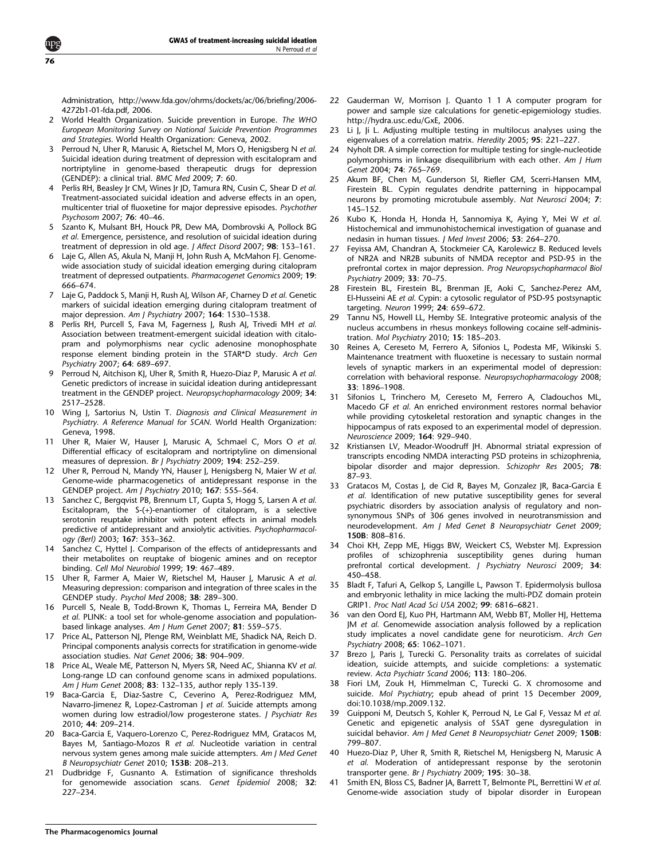Administration, http://www.fda.gov/ohrms/dockets/ac/06/briefing/2006- 4272b1-01-fda.pdf, 2006.

2 World Health Organization. Suicide prevention in Europe. The WHO European Monitoring Survey on National Suicide Prevention Programmes and Strategies. World Health Organization: Geneva, 2002.

<span id="page-8-0"></span>76

- 3 Perroud N, Uher R, Marusic A, Rietschel M, Mors O, Henigsberg N et al. Suicidal ideation during treatment of depression with escitalopram and nortriptyline in genome-based therapeutic drugs for depression (GENDEP): a clinical trial. BMC Med 2009; 7: 60.
- Perlis RH, Beasley Jr CM, Wines Jr JD, Tamura RN, Cusin C, Shear D et al. Treatment-associated suicidal ideation and adverse effects in an open, multicenter trial of fluoxetine for major depressive episodes. Psychother Psychosom 2007; 76: 40–46.
- 5 Szanto K, Mulsant BH, Houck PR, Dew MA, Dombrovski A, Pollock BG et al. Emergence, persistence, and resolution of suicidal ideation during treatment of depression in old age. J Affect Disord 2007; 98: 153-161.
- Laje G, Allen AS, Akula N, Manji H, John Rush A, McMahon FJ. Genomewide association study of suicidal ideation emerging during citalopram treatment of depressed outpatients. Pharmacogenet Genomics 2009; 19: 666–674.
- 7 Laje G, Paddock S, Manji H, Rush AJ, Wilson AF, Charney D et al. Genetic markers of suicidal ideation emerging during citalopram treatment of major depression. Am J Psychiatry 2007; 164: 1530–1538.
- 8 Perlis RH, Purcell S, Fava M, Fagerness J, Rush AJ, Trivedi MH et al. Association between treatment-emergent suicidal ideation with citalopram and polymorphisms near cyclic adenosine monophosphate response element binding protein in the STAR\*D study. Arch Gen Psychiatry 2007; 64: 689–697.
- 9 Perroud N, Aitchison KJ, Uher R, Smith R, Huezo-Diaz P, Marusic A et al. Genetic predictors of increase in suicidal ideation during antidepressant treatment in the GENDEP project. Neuropsychopharmacology 2009; 34: 2517–2528.
- 10 Wing J, Sartorius N, Ustin T. Diagnosis and Clinical Measurement in Psychiatry. A Reference Manual for SCAN. World Health Organization: Geneva, 1998.
- 11 Uher R, Maier W, Hauser J, Marusic A, Schmael C, Mors O et al. Differential efficacy of escitalopram and nortriptyline on dimensional measures of depression. Br J Psychiatry 2009; 194: 252–259.
- 12 Uher R, Perroud N, Mandy YN, Hauser J, Henigsberg N, Maier W et al. Genome-wide pharmacogenetics of antidepressant response in the GENDEP project. Am J Psychiatry 2010; 167: 555–564.
- 13 Sanchez C, Bergqvist PB, Brennum LT, Gupta S, Hogg S, Larsen A et al. Escitalopram, the S-(+)-enantiomer of citalopram, is a selective serotonin reuptake inhibitor with potent effects in animal models predictive of antidepressant and anxiolytic activities. Psychopharmacology (Berl) 2003; 167: 353–362.
- 14 Sanchez C, Hyttel J. Comparison of the effects of antidepressants and their metabolites on reuptake of biogenic amines and on receptor binding. Cell Mol Neurobiol 1999; 19: 467–489.
- Uher R, Farmer A, Maier W, Rietschel M, Hauser J, Marusic A et al. Measuring depression: comparison and integration of three scales in the GENDEP study. Psychol Med 2008; 38: 289–300.
- 16 Purcell S, Neale B, Todd-Brown K, Thomas L, Ferreira MA, Bender D et al. PLINK: a tool set for whole-genome association and populationbased linkage analyses. Am J Hum Genet 2007; 81: 559-575.
- 17 Price AL, Patterson NJ, Plenge RM, Weinblatt ME, Shadick NA, Reich D. Principal components analysis corrects for stratification in genome-wide association studies. Nat Genet 2006; 38: 904–909.
- 18 Price AL, Weale ME, Patterson N, Myers SR, Need AC, Shianna KV et al. Long-range LD can confound genome scans in admixed populations. Am J Hum Genet 2008; 83: 132-135, author reply 135-139.
- 19 Baca-Garcia E, Diaz-Sastre C, Ceverino A, Perez-Rodriguez MM, Navarro-Jimenez R, Lopez-Castroman J et al. Suicide attempts among women during low estradiol/low progesterone states. J Psychiatr Res 2010; 44: 209–214.
- 20 Baca-Garcia E, Vaquero-Lorenzo C, Perez-Rodriguez MM, Gratacos M, Bayes M, Santiago-Mozos R et al. Nucleotide variation in central nervous system genes among male suicide attempters. Am J Med Genet B Neuropsychiatr Genet 2010; 153B: 208–213.
- Dudbridge F, Gusnanto A. Estimation of significance thresholds for genomewide association scans. Genet Epidemiol 2008; 32: 227–234.
- 22 Gauderman W, Morrison J. Quanto 1 1 A computer program for power and sample size calculations for genetic-epigemiology studies. http://hydra.usc.edu/GxE, 2006.
- 23 Li J, Ji L. Adjusting multiple testing in multilocus analyses using the eigenvalues of a correlation matrix. Heredity 2005; 95: 221–227.
- 24 Nyholt DR. A simple correction for multiple testing for single-nucleotide polymorphisms in linkage disequilibrium with each other. Am J Hum Genet 2004; 74: 765–769.
- 25 Akum BF, Chen M, Gunderson SI, Riefler GM, Scerri-Hansen MM, Firestein BL. Cypin regulates dendrite patterning in hippocampal neurons by promoting microtubule assembly. Nat Neurosci 2004; 7: 145–152.
- 26 Kubo K, Honda H, Honda H, Sannomiya K, Aying Y, Mei W et al. Histochemical and immunohistochemical investigation of guanase and nedasin in human tissues. J Med Invest 2006; 53: 264–270.
- Feyissa AM, Chandran A, Stockmeier CA, Karolewicz B. Reduced levels of NR2A and NR2B subunits of NMDA receptor and PSD-95 in the prefrontal cortex in major depression. Prog Neuropsychopharmacol Biol Psychiatry 2009; 33: 70–75.
- 28 Firestein BL, Firestein BL, Brenman JE, Aoki C, Sanchez-Perez AM, El-Husseini AE et al. Cypin: a cytosolic regulator of PSD-95 postsynaptic targeting. Neuron 1999; 24: 659–672.
- Tannu NS, Howell LL, Hemby SE. Integrative proteomic analysis of the nucleus accumbens in rhesus monkeys following cocaine self-administration. Mol Psychiatry 2010; 15: 185–203.
- 30 Reines A, Cereseto M, Ferrero A, Sifonios L, Podesta MF, Wikinski S. Maintenance treatment with fluoxetine is necessary to sustain normal levels of synaptic markers in an experimental model of depression: correlation with behavioral response. Neuropsychopharmacology 2008; 33: 1896–1908.
- 31 Sifonios L, Trinchero M, Cereseto M, Ferrero A, Cladouchos ML, Macedo GF et al. An enriched environment restores normal behavior while providing cytoskeletal restoration and synaptic changes in the hippocampus of rats exposed to an experimental model of depression. Neuroscience 2009; 164: 929–940.
- 32 Kristiansen LV, Meador-Woodruff JH. Abnormal striatal expression of transcripts encoding NMDA interacting PSD proteins in schizophrenia, bipolar disorder and major depression. Schizophr Res 2005; 78: 87–93.
- 33 Gratacos M, Costas J, de Cid R, Bayes M, Gonzalez JR, Baca-Garcia E et al. Identification of new putative susceptibility genes for several psychiatric disorders by association analysis of regulatory and nonsynonymous SNPs of 306 genes involved in neurotransmission and neurodevelopment. Am J Med Genet B Neuropsychiatr Genet 2009; 150B: 808–816.
- 34 Choi KH, Zepp ME, Higgs BW, Weickert CS, Webster MJ. Expression profiles of schizophrenia susceptibility genes during human prefrontal cortical development. J Psychiatry Neurosci 2009; 34: 450–458.
- 35 Bladt F, Tafuri A, Gelkop S, Langille L, Pawson T. Epidermolysis bullosa and embryonic lethality in mice lacking the multi-PDZ domain protein GRIP1. Proc Natl Acad Sci USA 2002; 99: 6816–6821.
- 36 van den Oord EJ, Kuo PH, Hartmann AM, Webb BT, Moller HJ, Hettema JM et al. Genomewide association analysis followed by a replication study implicates a novel candidate gene for neuroticism. Arch Gen Psychiatry 2008; 65: 1062–1071.
- 37 Brezo J, Paris J, Turecki G. Personality traits as correlates of suicidal ideation, suicide attempts, and suicide completions: a systematic review. Acta Psychiatr Scand 2006; 113: 180–206.
- 38 Fiori LM, Zouk H, Himmelman C, Turecki G. X chromosome and suicide. Mol Psychiatry; epub ahead of print 15 December 2009, doi:10.1038/mp.2009.132.
- 39 Guipponi M, Deutsch S, Kohler K, Perroud N, Le Gal F, Vessaz M et al. Genetic and epigenetic analysis of SSAT gene dysregulation in suicidal behavior. Am J Med Genet B Neuropsychiatr Genet 2009; 150B: 799–807.
- 40 Huezo-Diaz P, Uher R, Smith R, Rietschel M, Henigsberg N, Marusic A et al. Moderation of antidepressant response by the serotonin transporter gene. Br J Psychiatry 2009; 195: 30–38.
- 41 Smith EN, Bloss CS, Badner JA, Barrett T, Belmonte PL, Berrettini W et al. Genome-wide association study of bipolar disorder in European